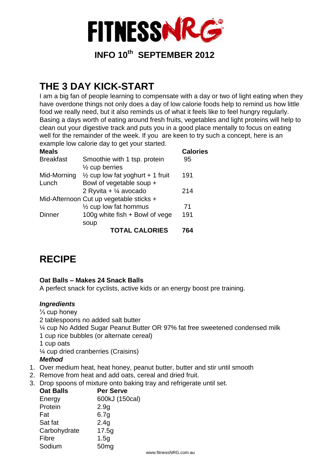

### **THE 3 DAY KICK-START**

I am a big fan of people learning to compensate with a day or two of light eating when they have overdone things not only does a day of low calorie foods help to remind us how little food we really need, but it also reminds us of what it feels like to feel hungry regularly. Basing a days worth of eating around fresh fruits, vegetables and light proteins will help to clean out your digestive track and puts you in a good place mentally to focus on eating well for the remainder of the week. If you are keen to try such a concept, here is an example low calorie day to get your started.

| <b>Meals</b>     |                                             | <b>Calories</b> |
|------------------|---------------------------------------------|-----------------|
| <b>Breakfast</b> | Smoothie with 1 tsp. protein                | 95              |
|                  | $\frac{1}{2}$ cup berries                   |                 |
| Mid-Morning      | $\frac{1}{2}$ cup low fat yoghurt + 1 fruit | 191             |
| Lunch            | Bowl of vegetable soup +                    |                 |
|                  | 2 Ryvita + $\frac{1}{4}$ avocado            | 214             |
|                  | Mid-Afternoon Cut up vegetable sticks +     |                 |
|                  | $\frac{1}{2}$ cup low fat hommus            | 71              |
| <b>Dinner</b>    | 100g white fish + Bowl of vege              | 191             |
|                  | soup                                        |                 |
|                  | <b>TOTAL CALORIES</b>                       | 764             |

### **RECIPE**

#### **Oat Balls – Makes 24 Snack Balls**

A perfect snack for cyclists, active kids or an energy boost pre training.

#### *Ingredients*

⅓ cup honey 2 tablespoons no added salt butter ¼ cup No Added Sugar Peanut Butter OR 97% fat free sweetened condensed milk 1 cup rice bubbles (or alternate cereal) 1 cup oats ¼ cup dried cranberries (Craisins) *Method* 1. Over medium heat, heat honey, peanut butter, butter and stir until smooth

- 2. Remove from heat and add oats, cereal and dried fruit.
- 3. Drop spoons of mixture onto baking tray and refrigerate until set.

| <b>Oat Balls</b> | <b>Per Serve</b> |
|------------------|------------------|
| Energy           | 600kJ (150cal)   |
| Protein          | 2.9g             |
| Fat              | 6.7g             |
| Sat fat          | 2.4g             |
| Carbohydrate     | 17.5g            |
| Fibre            | 1.5g             |
| Sodium           | 50 <sub>mg</sub> |